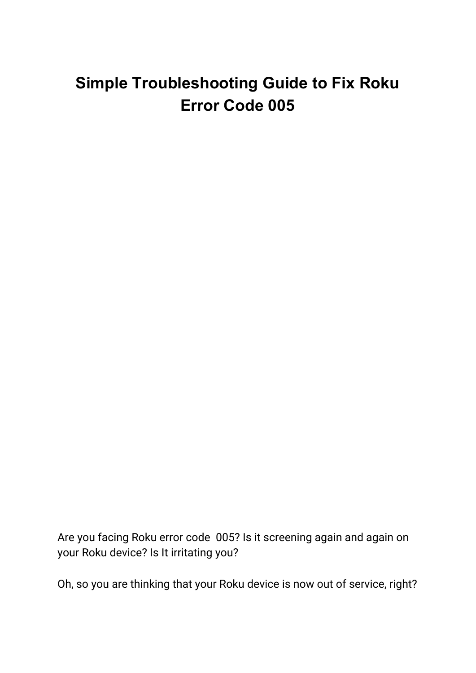# **Simple Troubleshooting Guide to Fix Roku Error Code 005**

Are you facing Roku error code 005? Is it screening again and again on your Roku device? Is It irritating you?

Oh, so you are thinking that your Roku device is now out of service, right?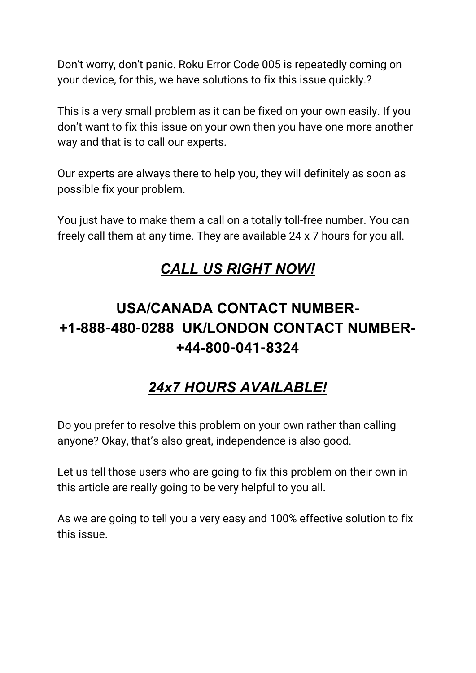Don't worry, don't panic. Roku Error Code 005 is repeatedly coming on your device, for this, we have solutions to fix this issue quickly.?

This is a very small problem as it can be fixed on your own easily. If you don't want to fix this issue on your own then you have one more another way and that is to call our experts.

Our experts are always there to help you, they will definitely as soon as possible fix your problem.

You just have to make them a call on a totally toll-free number. You can freely call them at any time. They are available 24 x 7 hours for you all.

## *CALL US RIGHT NOW!*

## **USA/CANADA CONTACT NUMBER- +1-888-480-0288 UK/LONDON CONTACT NUMBER- +44-800-041-8324**

## *24x7 HOURS AVAILABLE!*

Do you prefer to resolve this problem on your own rather than calling anyone? Okay, that's also great, independence is also good.

Let us tell those users who are going to fix this problem on their own in this article are really going to be very helpful to you all.

As we are going to tell you a very easy and 100% effective solution to fix this issue.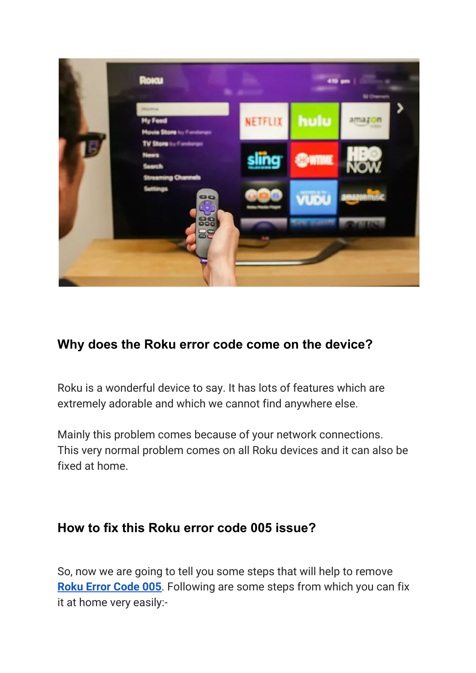

### **Why does the Roku error code come on the device?**

Roku is a wonderful device to say. It has lots of features which are extremely adorable and which we cannot find anywhere else.

Mainly this problem comes because of your network connections. This very normal problem comes on all Roku devices and it can also be fixed at home.

#### **How to fix this Roku error code 005 issue?**

So, now we are going to tell you some steps that will help to remove **Roku Error [Code](https://rokuerrorcode.com/roku-error-code-005/) 005**. Following are some steps from which you can fix it at home very easily:-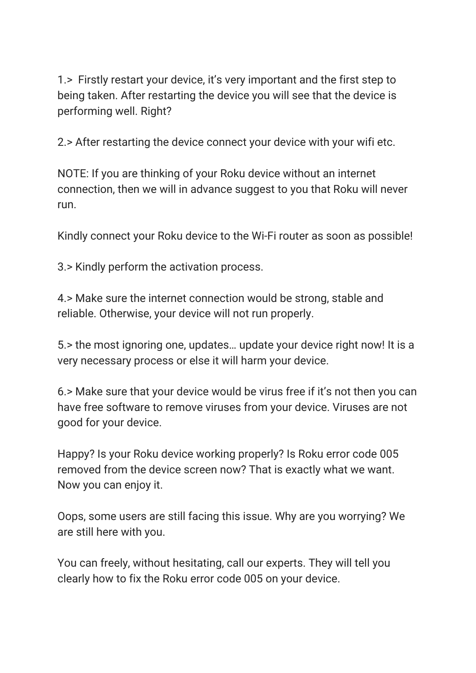1.> Firstly restart your device, it's very important and the first step to being taken. After restarting the device you will see that the device is performing well. Right?

2.> After restarting the device connect your device with your wifi etc.

NOTE: If you are thinking of your Roku device without an internet connection, then we will in advance suggest to you that Roku will never run.

Kindly connect your Roku device to the Wi-Fi router as soon as possible!

3.> Kindly perform the activation process.

4.> Make sure the internet connection would be strong, stable and reliable. Otherwise, your device will not run properly.

5.> the most ignoring one, updates… update your device right now! It is a very necessary process or else it will harm your device.

6.> Make sure that your device would be virus free if it's not then you can have free software to remove viruses from your device. Viruses are not good for your device.

Happy? Is your Roku device working properly? Is Roku error code 005 removed from the device screen now? That is exactly what we want. Now you can enjoy it.

Oops, some users are still facing this issue. Why are you worrying? We are still here with you.

You can freely, without hesitating, call our experts. They will tell you clearly how to fix the Roku error code 005 on your device.